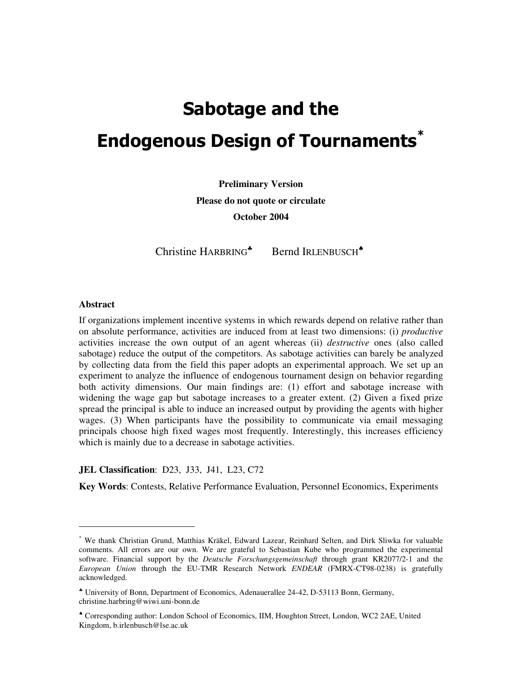# Sabotage and the **Endogenous Design of Tournaments\***

**Preliminary Version Please do not quote or circulate October 2004**

Christine HARBRING<sup>\*</sup> Bernd IRLENBUSCH<sup>\*</sup>

#### **Abstract**

If organizations implement incentive systems in which rewards depend on relative rather than on absolute performance, activities are induced from at least two dimensions: (i) *productive* activities increase the own output of an agent whereas (ii) *destructive* ones (also called sabotage) reduce the output of the competitors. As sabotage activities can barely be analyzed by collecting data from the field this paper adopts an experimental approach. We set up an experiment to analyze the influence of endogenous tournament design on behavior regarding both activity dimensions. Our main findings are: (1) effort and sabotage increase with widening the wage gap but sabotage increases to a greater extent. (2) Given a fixed prize spread the principal is able to induce an increased output by providing the agents with higher wages. (3) When participants have the possibility to communicate via email messaging principals choose high fixed wages most frequently. Interestingly, this increases efficiency which is mainly due to a decrease in sabotage activities.

# **JEL Classification**: D23, J33, J41, L23, C72

**Key Words**: Contests, Relative Performance Evaluation, Personnel Economics, Experiments

<sup>\*</sup> We thank Christian Grund, Matthias Kräkel, Edward Lazear, Reinhard Selten, and Dirk Sliwka for valuable comments. All errors are our own. We are grateful to Sebastian Kube who programmed the experimental software. Financial support by the *Deutsche Forschungsgemeinschaft* through grant KR2077/2-1 and the *European Union* through the EU-TMR Research Network *ENDEAR* (FMRX-CT98-0238) is gratefully acknowledged.

<sup>♣</sup> University of Bonn, Department of Economics, Adenauerallee 24-42, D-53113 Bonn, Germany, christine.harbring@wiwi.uni-bonn.de

<sup>♠</sup> Corresponding author: London School of Economics, IIM, Houghton Street, London, WC2 2AE, United Kingdom, b.irlenbusch@lse.ac.uk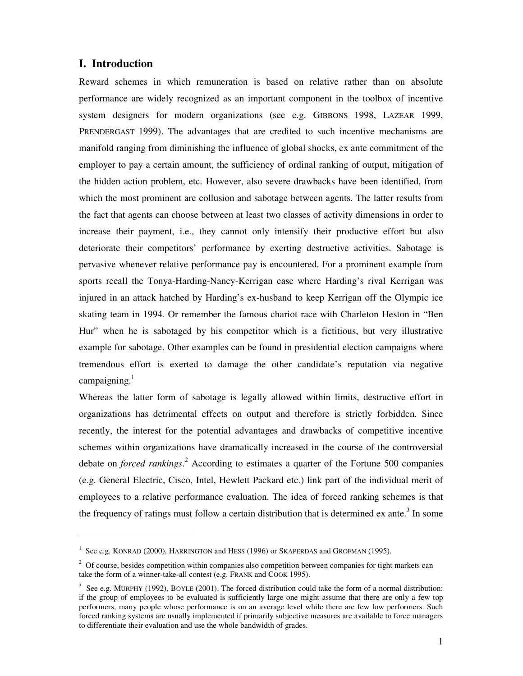# **I. Introduction**

Reward schemes in which remuneration is based on relative rather than on absolute performance are widely recognized as an important component in the toolbox of incentive system designers for modern organizations (see e.g. GIBBONS 1998, LAZEAR 1999, PRENDERGAST 1999). The advantages that are credited to such incentive mechanisms are manifold ranging from diminishing the influence of global shocks, ex ante commitment of the employer to pay a certain amount, the sufficiency of ordinal ranking of output, mitigation of the hidden action problem, etc. However, also severe drawbacks have been identified, from which the most prominent are collusion and sabotage between agents. The latter results from the fact that agents can choose between at least two classes of activity dimensions in order to increase their payment, i.e., they cannot only intensify their productive effort but also deteriorate their competitors' performance by exerting destructive activities. Sabotage is pervasive whenever relative performance pay is encountered. For a prominent example from sports recall the Tonya-Harding-Nancy-Kerrigan case where Harding's rival Kerrigan was injured in an attack hatched by Harding's ex-husband to keep Kerrigan off the Olympic ice skating team in 1994. Or remember the famous chariot race with Charleton Heston in "Ben Hur" when he is sabotaged by his competitor which is a fictitious, but very illustrative example for sabotage. Other examples can be found in presidential election campaigns where tremendous effort is exerted to damage the other candidate's reputation via negative campaigning.<sup>1</sup>

Whereas the latter form of sabotage is legally allowed within limits, destructive effort in organizations has detrimental effects on output and therefore is strictly forbidden. Since recently, the interest for the potential advantages and drawbacks of competitive incentive schemes within organizations have dramatically increased in the course of the controversial debate on *forced rankings*. <sup>2</sup> According to estimates a quarter of the Fortune 500 companies (e.g. General Electric, Cisco, Intel, Hewlett Packard etc.) link part of the individual merit of employees to a relative performance evaluation. The idea of forced ranking schemes is that the frequency of ratings must follow a certain distribution that is determined ex ante.<sup>3</sup> In some

 $^1$  See e.g. KONRAD (2000), HARRINGTON and HESS (1996) or SKAPERDAS and GROFMAN (1995).

<sup>&</sup>lt;sup>2</sup> Of course, besides competition within companies also competition between companies for tight markets can take the form of a winner-take-all contest (e.g. FRANK and COOK 1995).

 $3$  See e.g. MURPHY (1992), BOYLE (2001). The forced distribution could take the form of a normal distribution: if the group of employees to be evaluated is sufficiently large one might assume that there are only a few top performers, many people whose performance is on an average level while there are few low performers. Such forced ranking systems are usually implemented if primarily subjective measures are available to force managers to differentiate their evaluation and use the whole bandwidth of grades.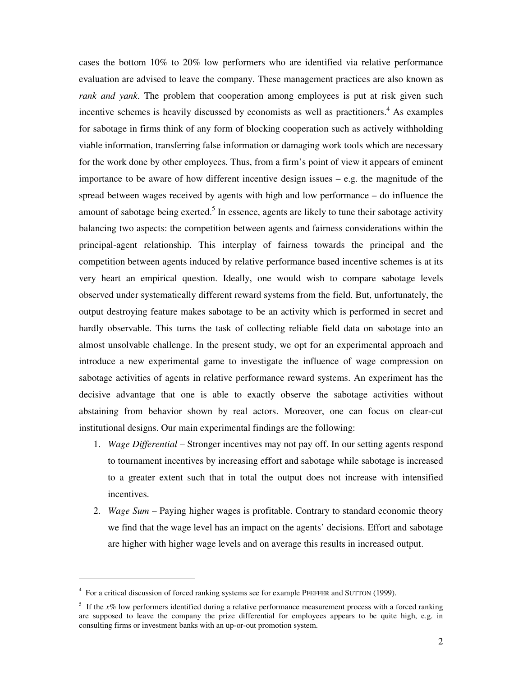cases the bottom 10% to 20% low performers who are identified via relative performance evaluation are advised to leave the company. These management practices are also known as *rank and yank*. The problem that cooperation among employees is put at risk given such incentive schemes is heavily discussed by economists as well as practitioners. <sup>4</sup> As examples for sabotage in firms think of any form of blocking cooperation such as actively withholding viable information, transferring false information or damaging work tools which are necessary for the work done by other employees. Thus, from a firm's point of view it appears of eminent importance to be aware of how different incentive design issues – e.g. the magnitude of the spread between wages received by agents with high and low performance – do influence the amount of sabotage being exerted.<sup>5</sup> In essence, agents are likely to tune their sabotage activity balancing two aspects: the competition between agents and fairness considerations within the principal-agent relationship. This interplay of fairness towards the principal and the competition between agents induced by relative performance based incentive schemes is at its very heart an empirical question. Ideally, one would wish to compare sabotage levels observed under systematically different reward systems from the field. But, unfortunately, the output destroying feature makes sabotage to be an activity which is performed in secret and hardly observable. This turns the task of collecting reliable field data on sabotage into an almost unsolvable challenge. In the present study, we opt for an experimental approach and introduce a new experimental game to investigate the influence of wage compression on sabotage activities of agents in relative performance reward systems. An experiment has the decisive advantage that one is able to exactly observe the sabotage activities without abstaining from behavior shown by real actors. Moreover, one can focus on clear-cut institutional designs. Our main experimental findings are the following:

- 1. *Wage Differential* Stronger incentives may not pay off. In our setting agents respond to tournament incentives by increasing effort and sabotage while sabotage is increased to a greater extent such that in total the output does not increase with intensified incentives.
- 2. *Wage Sum* Paying higher wages is profitable. Contrary to standard economic theory we find that the wage level has an impact on the agents' decisions. Effort and sabotage are higher with higher wage levels and on average this results in increased output.

<sup>&</sup>lt;sup>4</sup> For a critical discussion of forced ranking systems see for example PFEFFER and SUTTON (1999).

<sup>&</sup>lt;sup>5</sup> If the *x%* low performers identified during a relative performance measurement process with a forced ranking are supposed to leave the company the prize differential for employees appears to be quite high, e.g. in consulting firms or investment banks with an up-or-out promotion system.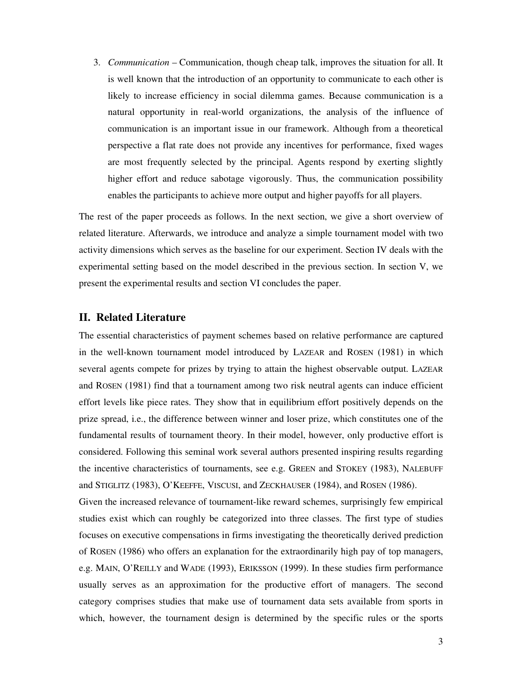3. *Communication* – Communication, though cheap talk, improves the situation for all. It is well known that the introduction of an opportunity to communicate to each other is likely to increase efficiency in social dilemma games. Because communication is a natural opportunity in real-world organizations, the analysis of the influence of communication is an important issue in our framework. Although from a theoretical perspective a flat rate does not provide any incentives for performance, fixed wages are most frequently selected by the principal. Agents respond by exerting slightly higher effort and reduce sabotage vigorously. Thus, the communication possibility enables the participants to achieve more output and higher payoffs for all players.

The rest of the paper proceeds as follows. In the next section, we give a short overview of related literature. Afterwards, we introduce and analyze a simple tournament model with two activity dimensions which serves as the baseline for our experiment. Section IV deals with the experimental setting based on the model described in the previous section. In section V, we present the experimental results and section VI concludes the paper.

## **II. Related Literature**

The essential characteristics of payment schemes based on relative performance are captured in the well-known tournament model introduced by LAZEAR and ROSEN (1981) in which several agents compete for prizes by trying to attain the highest observable output. LAZEAR and ROSEN (1981) find that a tournament among two risk neutral agents can induce efficient effort levels like piece rates. They show that in equilibrium effort positively depends on the prize spread, i.e., the difference between winner and loser prize, which constitutes one of the fundamental results of tournament theory. In their model, however, only productive effort is considered. Following this seminal work several authors presented inspiring results regarding the incentive characteristics of tournaments, see e.g. GREEN and STOKEY (1983), NALEBUFF and STIGLITZ (1983), O'KEEFFE, VISCUSI, and ZECKHAUSER (1984), and ROSEN (1986).

Given the increased relevance of tournament-like reward schemes, surprisingly few empirical studies exist which can roughly be categorized into three classes. The first type of studies focuses on executive compensations in firms investigating the theoretically derived prediction of ROSEN (1986) who offers an explanation for the extraordinarily high pay of top managers, e.g. MAIN, O'REILLY and WADE (1993), ERIKSSON (1999). In these studies firm performance usually serves as an approximation for the productive effort of managers. The second category comprises studies that make use of tournament data sets available from sports in which, however, the tournament design is determined by the specific rules or the sports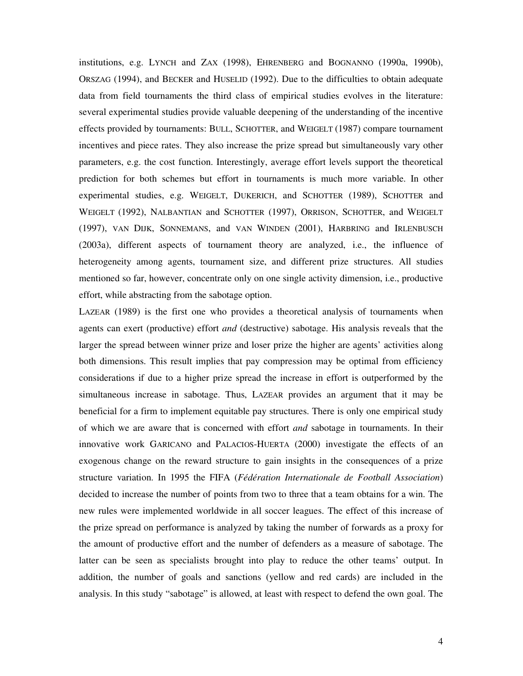institutions, e.g. LYNCH and ZAX (1998), EHRENBERG and BOGNANNO (1990a, 1990b), ORSZAG (1994), and BECKER and HUSELID (1992). Due to the difficulties to obtain adequate data from field tournaments the third class of empirical studies evolves in the literature: several experimental studies provide valuable deepening of the understanding of the incentive effects provided by tournaments: BULL, SCHOTTER, and WEIGELT (1987) compare tournament incentives and piece rates. They also increase the prize spread but simultaneously vary other parameters, e.g. the cost function. Interestingly, average effort levels support the theoretical prediction for both schemes but effort in tournaments is much more variable. In other experimental studies, e.g. WEIGELT, DUKERICH, and SCHOTTER (1989), SCHOTTER and WEIGELT (1992), NALBANTIAN and SCHOTTER (1997), ORRISON, SCHOTTER, and WEIGELT (1997), VAN DIJK, SONNEMANS, and VAN WINDEN (2001), HARBRING and IRLENBUSCH (2003a), different aspects of tournament theory are analyzed, i.e., the influence of heterogeneity among agents, tournament size, and different prize structures. All studies mentioned so far, however, concentrate only on one single activity dimension, i.e., productive effort, while abstracting from the sabotage option.

LAZEAR (1989) is the first one who provides a theoretical analysis of tournaments when agents can exert (productive) effort *and* (destructive) sabotage. His analysis reveals that the larger the spread between winner prize and loser prize the higher are agents' activities along both dimensions. This result implies that pay compression may be optimal from efficiency considerations if due to a higher prize spread the increase in effort is outperformed by the simultaneous increase in sabotage. Thus, LAZEAR provides an argument that it may be beneficial for a firm to implement equitable pay structures. There is only one empirical study of which we are aware that is concerned with effort *and* sabotage in tournaments. In their innovative work GARICANO and PALACIOS-HUERTA (2000) investigate the effects of an exogenous change on the reward structure to gain insights in the consequences of a prize structure variation. In 1995 the FIFA (*Fédération Internationale de Football Association*) decided to increase the number of points from two to three that a team obtains for a win. The new rules were implemented worldwide in all soccer leagues. The effect of this increase of the prize spread on performance is analyzed by taking the number of forwards as a proxy for the amount of productive effort and the number of defenders as a measure of sabotage. The latter can be seen as specialists brought into play to reduce the other teams' output. In addition, the number of goals and sanctions (yellow and red cards) are included in the analysis. In this study "sabotage" is allowed, at least with respect to defend the own goal. The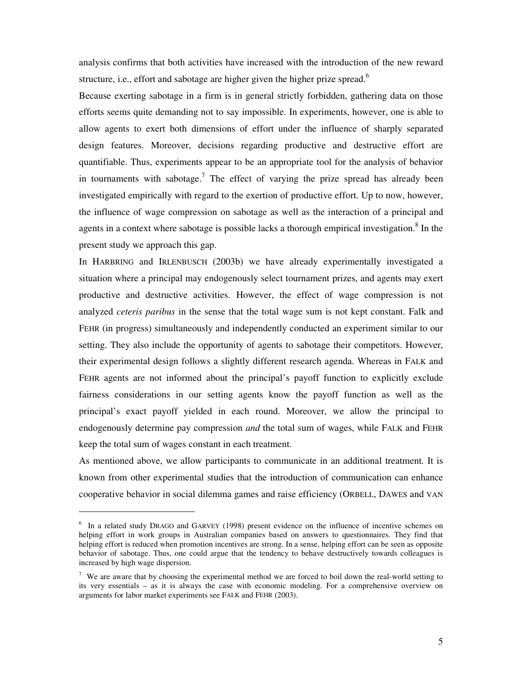analysis confirms that both activities have increased with the introduction of the new reward structure, i.e., effort and sabotage are higher given the higher prize spread.<sup>6</sup>

Because exerting sabotage in a firm is in general strictly forbidden, gathering data on those efforts seems quite demanding not to say impossible. In experiments, however, one is able to allow agents to exert both dimensions of effort under the influence of sharply separated design features. Moreover, decisions regarding productive and destructive effort are quantifiable. Thus, experiments appear to be an appropriate tool for the analysis of behavior in tournaments with sabotage.<sup>7</sup> The effect of varying the prize spread has already been investigated empirically with regard to the exertion of productive effort. Up to now, however, the influence of wage compression on sabotage as well as the interaction of a principal and agents in a context where sabotage is possible lacks a thorough empirical investigation.<sup>8</sup> In the present study we approach this gap.

In HARBRING and IRLENBUSCH (2003b) we have already experimentally investigated a situation where a principal may endogenously select tournament prizes, and agents may exert productive and destructive activities. However, the effect of wage compression is not analyzed *ceteris paribus* in the sense that the total wage sum is not kept constant. Falk and FEHR (in progress) simultaneously and independently conducted an experiment similar to our setting. They also include the opportunity of agents to sabotage their competitors. However, their experimental design follows a slightly different research agenda. Whereas in FALK and FEHR agents are not informed about the principal's payoff function to explicitly exclude fairness considerations in our setting agents know the payoff function as well as the principal's exact payoff yielded in each round. Moreover, we allow the principal to endogenously determine pay compression *and* the total sum of wages, while FALK and FEHR keep the total sum of wages constant in each treatment.

As mentioned above, we allow participants to communicate in an additional treatment. It is known from other experimental studies that the introduction of communication can enhance cooperative behavior in social dilemma games and raise efficiency (ORBELL, DAWES and VAN

<sup>&</sup>lt;sup>6</sup> In a related study DRAGO and GARVEY (1998) present evidence on the influence of incentive schemes on helping effort in work groups in Australian companies based on answers to questionnaires. They find that helping effort is reduced when promotion incentives are strong. In a sense, helping effort can be seen as opposite behavior of sabotage. Thus, one could argue that the tendency to behave destructively towards colleagues is increased by high wage dispersion.

<sup>&</sup>lt;sup>7</sup> We are aware that by choosing the experimental method we are forced to boil down the real-world setting to its very essentials – as it is always the case with economic modeling. For a comprehensive overview on arguments for labor market experiments see FALK and FEHR (2003).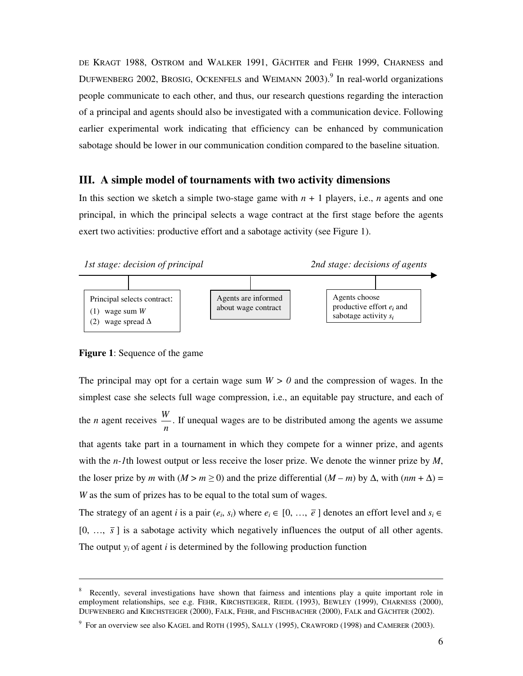DE KRAGT 1988, OSTROM and WALKER 1991, GÄCHTER and FEHR 1999, CHARNESS and DUFWENBERG 2002, BROSIG, OCKENFELS and WEIMANN 2003).<sup>9</sup> In real-world organizations people communicate to each other, and thus, our research questions regarding the interaction of a principal and agents should also be investigated with a communication device. Following earlier experimental work indicating that efficiency can be enhanced by communication sabotage should be lower in our communication condition compared to the baseline situation.

# **III. A simple model of tournaments with two activity dimensions**

In this section we sketch a simple two-stage game with  $n + 1$  players, i.e., *n* agents and one principal, in which the principal selects a wage contract at the first stage before the agents exert two activities: productive effort and a sabotage activity (see Figure 1).



# **Figure 1**: Sequence of the game

The principal may opt for a certain wage sum  $W > 0$  and the compression of wages. In the simplest case she selects full wage compression, i.e., an equitable pay structure, and each of the *n* agent receives *n W* . If unequal wages are to be distributed among the agents we assume that agents take part in a tournament in which they compete for a winner prize, and agents with the *n-1*th lowest output or less receive the loser prize. We denote the winner prize by *M*, the loser prize by *m* with  $(M > m \ge 0)$  and the prize differential  $(M - m)$  by  $\Delta$ , with  $(nm + \Delta) =$ *W* as the sum of prizes has to be equal to the total sum of wages.

The strategy of an agent *i* is a pair  $(e_i, s_i)$  where  $e_i \in [0, \ldots, \overline{e}]$  denotes an effort level and  $s_i \in$  $[0, ..., \bar{s}]$  is a sabotage activity which negatively influences the output of all other agents. The output  $y_i$  of agent *i* is determined by the following production function

<sup>8</sup> Recently, several investigations have shown that fairness and intentions play a quite important role in employment relationships, see e.g. FEHR, KIRCHSTEIGER, RIEDL (1993), BEWLEY (1999), CHARNESS (2000), DUFWENBERG and KIRCHSTEIGER (2000), FALK, FEHR, and FISCHBACHER (2000), FALK and GÄCHTER (2002).

 $9\,$  For an overview see also KAGEL and ROTH (1995), SALLY (1995), CRAWFORD (1998) and CAMERER (2003).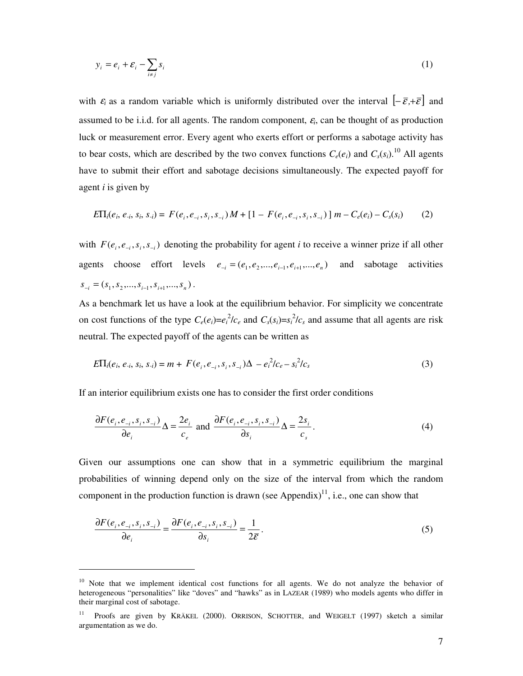$$
y_i = e_i + \varepsilon_i - \sum_{i \neq j} s_i \tag{1}
$$

with  $\varepsilon_i$  as a random variable which is uniformly distributed over the interval  $[-\bar{\varepsilon},+\bar{\varepsilon}]$  and assumed to be i.i.d. for all agents. The random component,  $\varepsilon$ <sub>i</sub>, can be thought of as production luck or measurement error. Every agent who exerts effort or performs a sabotage activity has to bear costs, which are described by the two convex functions  $C_e(e_i)$  and  $C_s(s_i)$ .<sup>10</sup> All agents have to submit their effort and sabotage decisions simultaneously. The expected payoff for agent *i* is given by

$$
E\Pi_i(e_i, e_{-i}, s_i, s_{-i}) = F(e_i, e_{-i}, s_i, s_{-i})M + [1 - F(e_i, e_{-i}, s_i, s_{-i})]m - C_e(e_i) - C_s(s_i)
$$
 (2)

with  $F(e_i, e_{-i}, s_i, s_{-i})$  denoting the probability for agent *i* to receive a winner prize if all other agents choose effort levels  $e_{-i} = (e_1, e_2, \dots, e_{i-1}, e_{i+1}, \dots, e_n)$  and sabotage activities  $S_{-i} = (S_1, S_2, \ldots, S_{i-1}, S_{i+1}, \ldots, S_n).$ 

As a benchmark let us have a look at the equilibrium behavior. For simplicity we concentrate on cost functions of the type  $C_e(e_i) = e_i^2/c_e$  and  $C_s(s_i) = s_i^2/c_s$  and assume that all agents are risk neutral. The expected payoff of the agents can be written as

$$
E\Pi_i(e_i, e_{-i}, s_i, s_{-i}) = m + F(e_i, e_{-i}, s_i, s_{-i})\Delta - e_i^2/c_e - s_i^2/c_s
$$
\n(3)

If an interior equilibrium exists one has to consider the first order conditions

$$
\frac{\partial F(e_i, e_{-i}, s_i, s_{-i})}{\partial e_i} \Delta = \frac{2e_i}{c_e} \text{ and } \frac{\partial F(e_i, e_{-i}, s_i, s_{-i})}{\partial s_i} \Delta = \frac{2s_i}{c_s}.
$$
 (4)

Given our assumptions one can show that in a symmetric equilibrium the marginal probabilities of winning depend only on the size of the interval from which the random component in the production function is drawn (see Appendix) $1,$  i.e., one can show that

$$
\frac{\partial F(e_i, e_{-i}, s_i, s_{-i})}{\partial e_i} = \frac{\partial F(e_i, e_{-i}, s_i, s_{-i})}{\partial s_i} = \frac{1}{2\bar{\varepsilon}}.
$$
\n<sup>(5)</sup>

<sup>&</sup>lt;sup>10</sup> Note that we implement identical cost functions for all agents. We do not analyze the behavior of heterogeneous "personalities" like "doves" and "hawks" as in LAZEAR (1989) who models agents who differ in their marginal cost of sabotage.

<sup>11</sup> Proofs are given by KRÄKEL (2000). ORRISON, SCHOTTER, and WEIGELT (1997) sketch a similar argumentation as we do.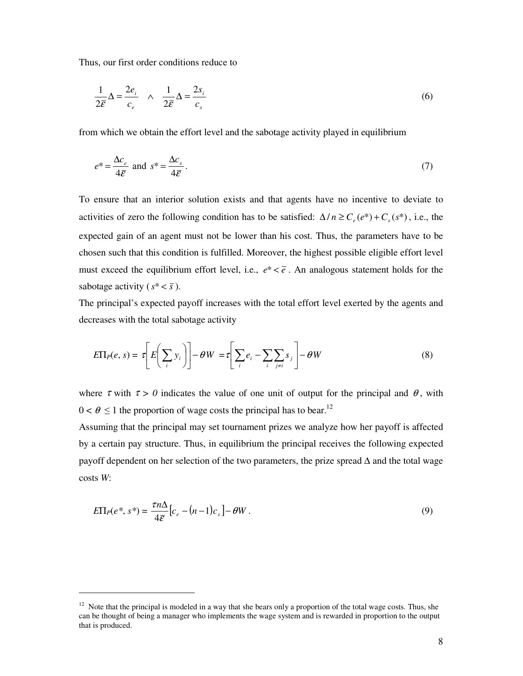Thus, our first order conditions reduce to

$$
\frac{1}{2\bar{\varepsilon}}\Delta = \frac{2e_i}{c_e} \quad \wedge \quad \frac{1}{2\bar{\varepsilon}}\Delta = \frac{2s_i}{c_s} \tag{6}
$$

from which we obtain the effort level and the sabotage activity played in equilibrium

$$
e^* = \frac{\Delta c_e}{4\bar{\varepsilon}} \text{ and } s^* = \frac{\Delta c_s}{4\bar{\varepsilon}}.
$$
 (7)

To ensure that an interior solution exists and that agents have no incentive to deviate to activities of zero the following condition has to be satisfied:  $\Delta/n \ge C_e(e^*) + C_s(s^*)$ , i.e., the expected gain of an agent must not be lower than his cost. Thus, the parameters have to be chosen such that this condition is fulfilled. Moreover, the highest possible eligible effort level must exceed the equilibrium effort level, i.e.,  $e^* < \overline{e}$ . An analogous statement holds for the sabotage activity ( $s^* < \overline{s}$ ).

The principal's expected payoff increases with the total effort level exerted by the agents and decreases with the total sabotage activity

$$
E\Pi_P(e, s) = \tau \left[ E \left( \sum_i y_i \right) \right] - \theta W = \tau \left[ \sum_i e_i - \sum_i \sum_{j \neq i} s_j \right] - \theta W \tag{8}
$$

where  $\tau$  with  $\tau > 0$  indicates the value of one unit of output for the principal and  $\theta$ , with  $0 < \theta \le 1$  the proportion of wage costs the principal has to bear.<sup>12</sup>

Assuming that the principal may set tournament prizes we analyze how her payoff is affected by a certain pay structure. Thus, in equilibrium the principal receives the following expected payoff dependent on her selection of the two parameters, the prize spread ∆ and the total wage costs *W*:

$$
E\Pi_P(e^*, s^*) = \frac{\tau n \Delta}{4\bar{\varepsilon}} \big[ c_e - (n-1)c_s \big] - \theta W \,. \tag{9}
$$

 $12$  Note that the principal is modeled in a way that she bears only a proportion of the total wage costs. Thus, she can be thought of being a manager who implements the wage system and is rewarded in proportion to the output that is produced.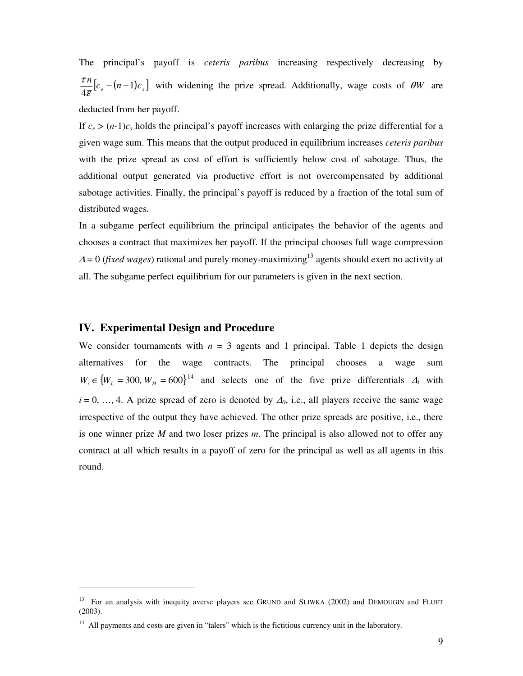The principal's payoff is *ceteris paribus* increasing respectively decreasing by  $\frac{n}{2} [c_e - (n-1)c_s]$ 4  $\frac{n}{\bar{\varepsilon}}\big|c_e - (n \frac{\tau n}{\tau}$   $[c_e - (n-1)c_s]$  with widening the prize spread. Additionally, wage costs of  $\theta W$  are deducted from her payoff.

If  $c_e > (n-1)c_s$  holds the principal's payoff increases with enlarging the prize differential for a given wage sum. This means that the output produced in equilibrium increases *ceteris paribus* with the prize spread as cost of effort is sufficiently below cost of sabotage. Thus, the additional output generated via productive effort is not overcompensated by additional sabotage activities. Finally, the principal's payoff is reduced by a fraction of the total sum of distributed wages.

In a subgame perfect equilibrium the principal anticipates the behavior of the agents and chooses a contract that maximizes her payoff. If the principal chooses full wage compression  $\Delta$  = 0 (*fixed wages*) rational and purely money-maximizing<sup>13</sup> agents should exert no activity at all. The subgame perfect equilibrium for our parameters is given in the next section.

# **IV. Experimental Design and Procedure**

We consider tournaments with  $n = 3$  agents and 1 principal. Table 1 depicts the design alternatives for the wage contracts. The principal chooses a wage sum  $W_i \in \{W_L = 300, W_H = 600\}^{14}$  and selects one of the five prize differentials  $\Delta_i$  with  $i = 0, \ldots, 4$ . A prize spread of zero is denoted by  $\Delta_0$ , i.e., all players receive the same wage irrespective of the output they have achieved. The other prize spreads are positive, i.e., there is one winner prize *M* and two loser prizes *m*. The principal is also allowed not to offer any contract at all which results in a payoff of zero for the principal as well as all agents in this round.

<sup>&</sup>lt;sup>13</sup> For an analysis with inequity averse players see GRUND and SLIWKA (2002) and DEMOUGIN and FLUET (2003).

 $14$  All payments and costs are given in "talers" which is the fictitious currency unit in the laboratory.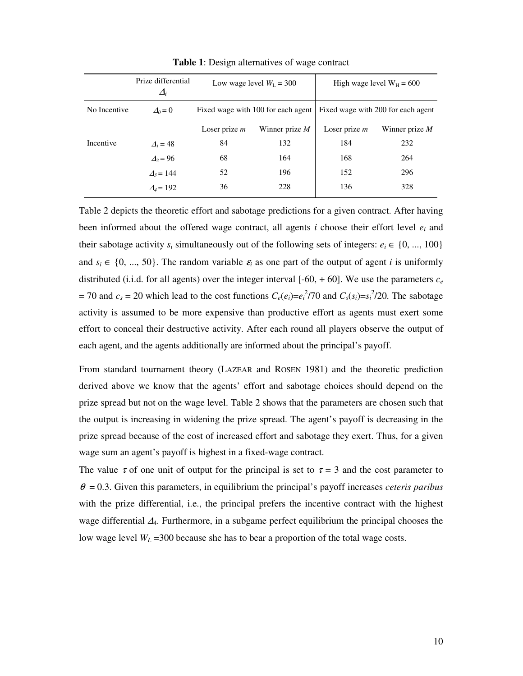|              | Prize differential<br>$\varDelta_i$ | Low wage level $W_L = 300$         |                  | High wage level $W_H = 600$        |                  |
|--------------|-------------------------------------|------------------------------------|------------------|------------------------------------|------------------|
| No Incentive | $\Delta_0=0$                        | Fixed wage with 100 for each agent |                  | Fixed wage with 200 for each agent |                  |
|              |                                     | Loser prize $m$                    | Winner prize $M$ | Loser prize $m$                    | Winner prize $M$ |
| Incentive    | $\Delta$ <sub>i</sub> = 48          | 84                                 | 132              | 184                                | 232              |
|              | $\Delta$ <sub>2</sub> = 96          | 68                                 | 164              | 168                                | 264              |
|              | $\Delta_3 = 144$                    | 52                                 | 196              | 152                                | 296              |
|              | $\Delta_4=192$                      | 36                                 | 228              | 136                                | 328              |

**Table 1**: Design alternatives of wage contract

Table 2 depicts the theoretic effort and sabotage predictions for a given contract. After having been informed about the offered wage contract, all agents *i* choose their effort level *e<sup>i</sup>* and their sabotage activity  $s_i$  simultaneously out of the following sets of integers:  $e_i \in \{0, ..., 100\}$ and  $s_i \in \{0, ..., 50\}$ . The random variable  $\varepsilon_i$  as one part of the output of agent *i* is uniformly distributed (i.i.d. for all agents) over the integer interval [-60, + 60]. We use the parameters  $c_e$  $= 70$  and  $c_s = 20$  which lead to the cost functions  $C_e(e_i) = e_i^2/70$  and  $C_s(s_i) = s_i^2/20$ . The sabotage activity is assumed to be more expensive than productive effort as agents must exert some effort to conceal their destructive activity. After each round all players observe the output of each agent, and the agents additionally are informed about the principal's payoff.

From standard tournament theory (LAZEAR and ROSEN 1981) and the theoretic prediction derived above we know that the agents' effort and sabotage choices should depend on the prize spread but not on the wage level. Table 2 shows that the parameters are chosen such that the output is increasing in widening the prize spread. The agent's payoff is decreasing in the prize spread because of the cost of increased effort and sabotage they exert. Thus, for a given wage sum an agent's payoff is highest in a fixed-wage contract.

The value  $\tau$  of one unit of output for the principal is set to  $\tau = 3$  and the cost parameter to  $\theta = 0.3$ . Given this parameters, in equilibrium the principal's payoff increases *ceteris paribus* with the prize differential, i.e., the principal prefers the incentive contract with the highest wage differential <sup>∆</sup>4. Furthermore, in a subgame perfect equilibrium the principal chooses the low wage level  $W_L$  =300 because she has to bear a proportion of the total wage costs.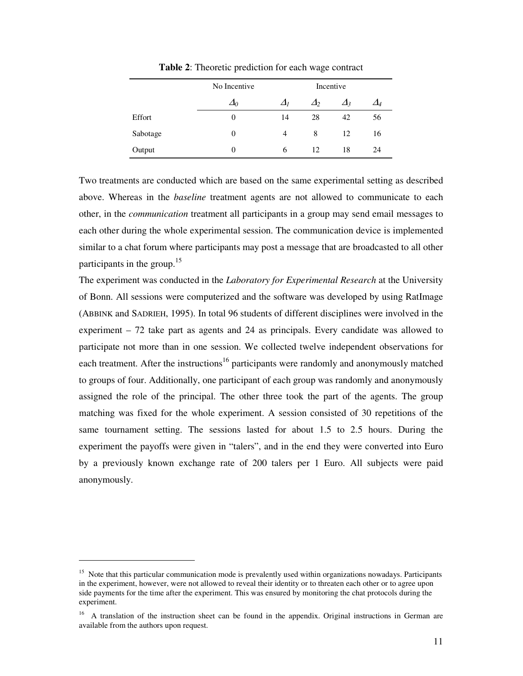|          | No Incentive<br>Incentive |            |            |            |            |
|----------|---------------------------|------------|------------|------------|------------|
|          | $\Delta_0$                | $\Delta_l$ | $\Delta_2$ | $\Delta$ 3 | $\Delta_4$ |
| Effort   | $\theta$                  | 14         | 28         | 42         | 56         |
| Sabotage | $\Omega$                  | 4          | 8          | 12         | 16         |
| Output   | $\Omega$                  | 6          | 12.        | 18         | 24         |

**Table 2**: Theoretic prediction for each wage contract

Two treatments are conducted which are based on the same experimental setting as described above. Whereas in the *baseline* treatment agents are not allowed to communicate to each other, in the *communication* treatment all participants in a group may send email messages to each other during the whole experimental session. The communication device is implemented similar to a chat forum where participants may post a message that are broadcasted to all other participants in the group.<sup>15</sup>

The experiment was conducted in the *Laboratory for Experimental Research* at the University of Bonn. All sessions were computerized and the software was developed by using RatImage (ABBINK and SADRIEH, 1995). In total 96 students of different disciplines were involved in the experiment – 72 take part as agents and 24 as principals. Every candidate was allowed to participate not more than in one session. We collected twelve independent observations for each treatment. After the instructions<sup>16</sup> participants were randomly and anonymously matched to groups of four. Additionally, one participant of each group was randomly and anonymously assigned the role of the principal. The other three took the part of the agents. The group matching was fixed for the whole experiment. A session consisted of 30 repetitions of the same tournament setting. The sessions lasted for about 1.5 to 2.5 hours. During the experiment the payoffs were given in "talers", and in the end they were converted into Euro by a previously known exchange rate of 200 talers per 1 Euro. All subjects were paid anonymously.

<sup>&</sup>lt;sup>15</sup> Note that this particular communication mode is prevalently used within organizations nowadays. Participants in the experiment, however, were not allowed to reveal their identity or to threaten each other or to agree upon side payments for the time after the experiment. This was ensured by monitoring the chat protocols during the experiment.

<sup>&</sup>lt;sup>16</sup> A translation of the instruction sheet can be found in the appendix. Original instructions in German are available from the authors upon request.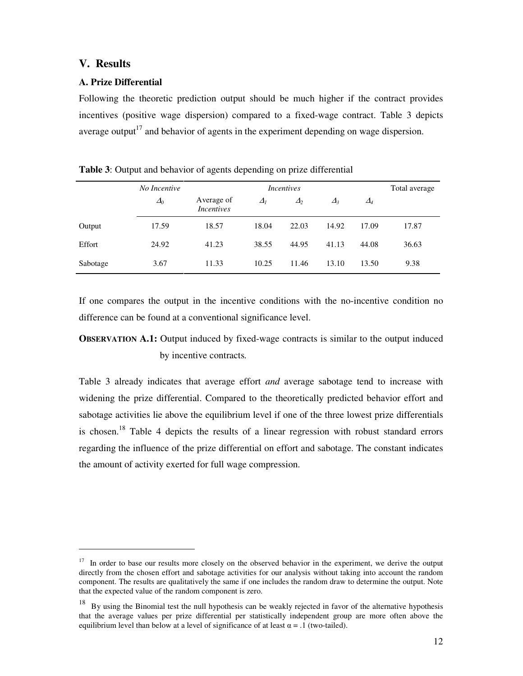# **V. Results**

# **A. Prize Differential**

Following the theoretic prediction output should be much higher if the contract provides incentives (positive wage dispersion) compared to a fixed-wage contract. Table 3 depicts average output<sup>17</sup> and behavior of agents in the experiment depending on wage dispersion.

|          | No Incentive  | <i>Incentives</i>               |            |          | Total average |               |       |
|----------|---------------|---------------------------------|------------|----------|---------------|---------------|-------|
|          | $\varDelta_0$ | Average of<br><i>Incentives</i> | $\Delta_I$ | $\Delta$ | $\Delta$      | $\varDelta_4$ |       |
| Output   | 17.59         | 18.57                           | 18.04      | 22.03    | 14.92         | 17.09         | 17.87 |
| Effort   | 24.92         | 41.23                           | 38.55      | 44.95    | 41.13         | 44.08         | 36.63 |
| Sabotage | 3.67          | 11.33                           | 10.25      | 11.46    | 13.10         | 13.50         | 9.38  |

**Table 3**: Output and behavior of agents depending on prize differential

If one compares the output in the incentive conditions with the no-incentive condition no difference can be found at a conventional significance level.

# **OBSERVATION A.1:** Output induced by fixed-wage contracts is similar to the output induced by incentive contracts*.*

Table 3 already indicates that average effort *and* average sabotage tend to increase with widening the prize differential. Compared to the theoretically predicted behavior effort and sabotage activities lie above the equilibrium level if one of the three lowest prize differentials is chosen.<sup>18</sup> Table 4 depicts the results of a linear regression with robust standard errors regarding the influence of the prize differential on effort and sabotage. The constant indicates the amount of activity exerted for full wage compression.

<sup>&</sup>lt;sup>17</sup> In order to base our results more closely on the observed behavior in the experiment, we derive the output directly from the chosen effort and sabotage activities for our analysis without taking into account the random component. The results are qualitatively the same if one includes the random draw to determine the output. Note that the expected value of the random component is zero.

<sup>18</sup> By using the Binomial test the null hypothesis can be weakly rejected in favor of the alternative hypothesis that the average values per prize differential per statistically independent group are more often above the equilibrium level than below at a level of significance of at least  $\alpha = .1$  (two-tailed).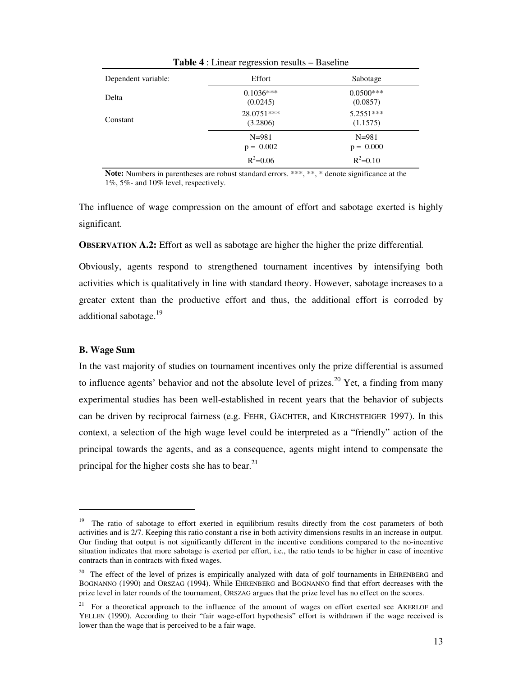| <b>Table 4</b> : Linear regression results – Baseline |                          |                          |  |  |
|-------------------------------------------------------|--------------------------|--------------------------|--|--|
| Dependent variable:                                   | Effort                   | Sabotage                 |  |  |
| Delta                                                 | $0.1036***$<br>(0.0245)  | $0.0500***$<br>(0.0857)  |  |  |
| Constant                                              | 28.0751***<br>(3.2806)   | 5.2551***<br>(1.1575)    |  |  |
|                                                       | $N = 981$<br>$p = 0.002$ | $N = 981$<br>$p = 0.000$ |  |  |
|                                                       | $R^2 = 0.06$             | $R^2 = 0.10$             |  |  |

Note: Numbers in parentheses are robust standard errors. \*\*\*, \*\*, \* denote significance at the 1%, 5%- and 10% level, respectively.

The influence of wage compression on the amount of effort and sabotage exerted is highly significant.

**OBSERVATION A.2:** Effort as well as sabotage are higher the higher the prize differential*.*

Obviously, agents respond to strengthened tournament incentives by intensifying both activities which is qualitatively in line with standard theory. However, sabotage increases to a greater extent than the productive effort and thus, the additional effort is corroded by additional sabotage.<sup>19</sup>

#### **B. Wage Sum**

In the vast majority of studies on tournament incentives only the prize differential is assumed to influence agents' behavior and not the absolute level of prizes.<sup>20</sup> Yet, a finding from many experimental studies has been well-established in recent years that the behavior of subjects can be driven by reciprocal fairness (e.g. FEHR, GÄCHTER, and KIRCHSTEIGER 1997). In this context, a selection of the high wage level could be interpreted as a "friendly" action of the principal towards the agents, and as a consequence, agents might intend to compensate the principal for the higher costs she has to bear.<sup>21</sup>

<sup>19</sup> The ratio of sabotage to effort exerted in equilibrium results directly from the cost parameters of both activities and is 2/7. Keeping this ratio constant a rise in both activity dimensions results in an increase in output. Our finding that output is not significantly different in the incentive conditions compared to the no-incentive situation indicates that more sabotage is exerted per effort, i.e., the ratio tends to be higher in case of incentive contracts than in contracts with fixed wages.

<sup>&</sup>lt;sup>20</sup> The effect of the level of prizes is empirically analyzed with data of golf tournaments in EHRENBERG and BOGNANNO (1990) and ORSZAG (1994). While EHRENBERG and BOGNANNO find that effort decreases with the prize level in later rounds of the tournament, ORSZAG argues that the prize level has no effect on the scores.

<sup>&</sup>lt;sup>21</sup> For a theoretical approach to the influence of the amount of wages on effort exerted see AKERLOF and YELLEN (1990). According to their "fair wage-effort hypothesis" effort is withdrawn if the wage received is lower than the wage that is perceived to be a fair wage.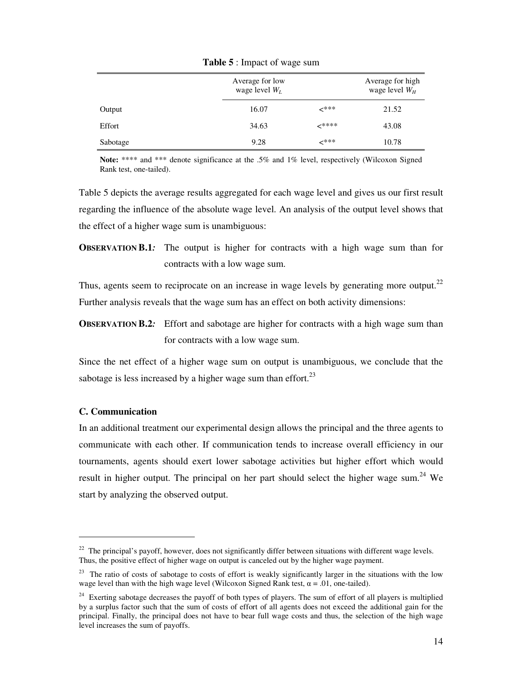|          | Average for low<br>wage level $W_L$ |       | Average for high<br>wage level $W_H$ |
|----------|-------------------------------------|-------|--------------------------------------|
| Output   | 16.07                               | -***  | 21.52                                |
| Effort   | 34.63                               | ∠**** | 43.08                                |
| Sabotage | 9.28                                | -***  | 10.78                                |

**Table 5** : Impact of wage sum

**Note:** \*\*\*\* and \*\*\* denote significance at the .5% and 1% level, respectively (Wilcoxon Signed Rank test, one-tailed).

Table 5 depicts the average results aggregated for each wage level and gives us our first result regarding the influence of the absolute wage level. An analysis of the output level shows that the effect of a higher wage sum is unambiguous:

**OBSERVATION B.1***:* The output is higher for contracts with a high wage sum than for contracts with a low wage sum.

Thus, agents seem to reciprocate on an increase in wage levels by generating more output.<sup>22</sup> Further analysis reveals that the wage sum has an effect on both activity dimensions:

**OBSERVATION B.2**: Effort and sabotage are higher for contracts with a high wage sum than for contracts with a low wage sum.

Since the net effect of a higher wage sum on output is unambiguous, we conclude that the sabotage is less increased by a higher wage sum than effort. $2<sup>3</sup>$ 

### **C. Communication**

In an additional treatment our experimental design allows the principal and the three agents to communicate with each other. If communication tends to increase overall efficiency in our tournaments, agents should exert lower sabotage activities but higher effort which would result in higher output. The principal on her part should select the higher wage sum.<sup>24</sup> We start by analyzing the observed output.

 $22$  The principal's payoff, however, does not significantly differ between situations with different wage levels. Thus, the positive effect of higher wage on output is canceled out by the higher wage payment.

 $2<sup>23</sup>$  The ratio of costs of sabotage to costs of effort is weakly significantly larger in the situations with the low wage level than with the high wage level (Wilcoxon Signed Rank test,  $\alpha = .01$ , one-tailed).

<sup>&</sup>lt;sup>24</sup> Exerting sabotage decreases the payoff of both types of players. The sum of effort of all players is multiplied by a surplus factor such that the sum of costs of effort of all agents does not exceed the additional gain for the principal. Finally, the principal does not have to bear full wage costs and thus, the selection of the high wage level increases the sum of payoffs.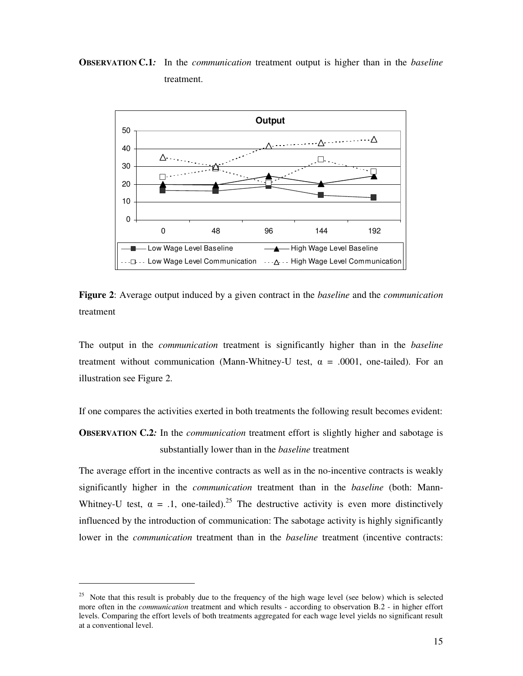**OBSERVATION C.1***:* In the *communication* treatment output is higher than in the *baseline* treatment.



**Figure 2**: Average output induced by a given contract in the *baseline* and the *communication* treatment

The output in the *communication* treatment is significantly higher than in the *baseline* treatment without communication (Mann-Whitney-U test,  $\alpha = .0001$ , one-tailed). For an illustration see Figure 2.

If one compares the activities exerted in both treatments the following result becomes evident:

**OBSERVATION C.2***:* In the *communication* treatment effort is slightly higher and sabotage is substantially lower than in the *baseline* treatment

The average effort in the incentive contracts as well as in the no-incentive contracts is weakly significantly higher in the *communication* treatment than in the *baseline* (both: Mann-Whitney-U test,  $\alpha = 0.1$ , one-tailed).<sup>25</sup> The destructive activity is even more distinctively influenced by the introduction of communication: The sabotage activity is highly significantly lower in the *communication* treatment than in the *baseline* treatment (incentive contracts:

<sup>&</sup>lt;sup>25</sup> Note that this result is probably due to the frequency of the high wage level (see below) which is selected more often in the *communication* treatment and which results - according to observation B.2 - in higher effort levels. Comparing the effort levels of both treatments aggregated for each wage level yields no significant result at a conventional level.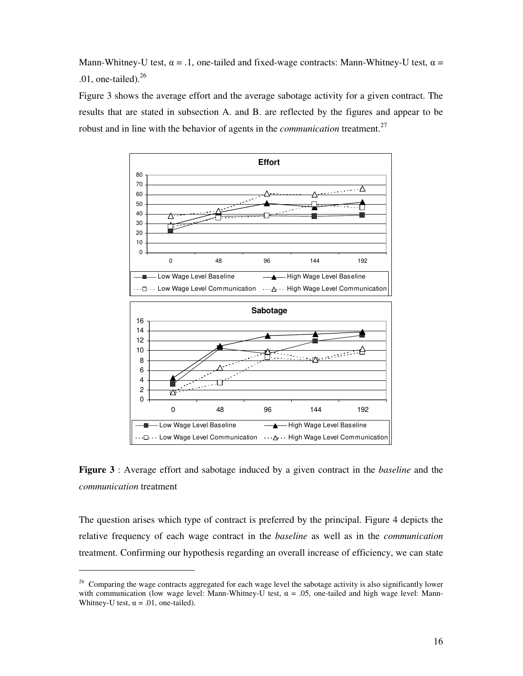Mann-Whitney-U test,  $\alpha = .1$ , one-tailed and fixed-wage contracts: Mann-Whitney-U test,  $\alpha =$ .01, one-tailed). $26$ 

Figure 3 shows the average effort and the average sabotage activity for a given contract. The results that are stated in subsection A. and B. are reflected by the figures and appear to be robust and in line with the behavior of agents in the *communication* treatment. 27



**Figure 3** : Average effort and sabotage induced by a given contract in the *baseline* and the *communication* treatment

The question arises which type of contract is preferred by the principal. Figure 4 depicts the relative frequency of each wage contract in the *baseline* as well as in the *communication* treatment. Confirming our hypothesis regarding an overall increase of efficiency, we can state

<sup>&</sup>lt;sup>26</sup> Comparing the wage contracts aggregated for each wage level the sabotage activity is also significantly lower with communication (low wage level: Mann-Whitney-U test,  $\alpha = .05$ , one-tailed and high wage level: Mann-Whitney-U test,  $\alpha = .01$ , one-tailed).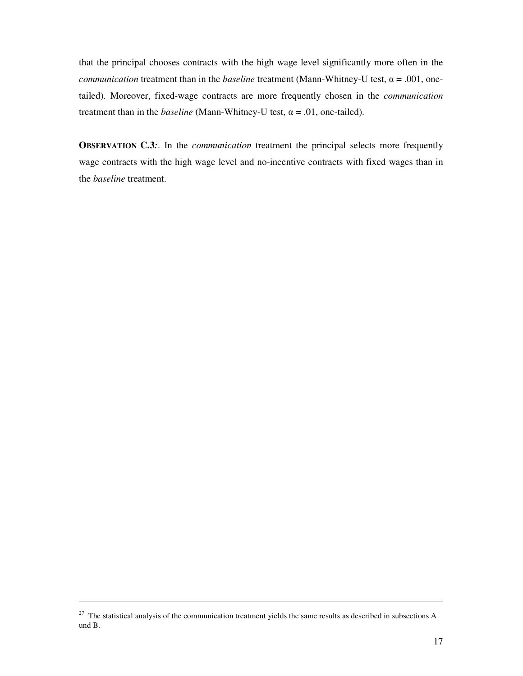that the principal chooses contracts with the high wage level significantly more often in the *communication* treatment than in the *baseline* treatment (Mann-Whitney-U test,  $\alpha = .001$ , onetailed). Moreover, fixed-wage contracts are more frequently chosen in the *communication* treatment than in the *baseline* (Mann-Whitney-U test,  $\alpha = .01$ , one-tailed).

**OBSERVATION C.3:** In the *communication* treatment the principal selects more frequently wage contracts with the high wage level and no-incentive contracts with fixed wages than in the *baseline* treatment.

 $27$  The statistical analysis of the communication treatment yields the same results as described in subsections A und B.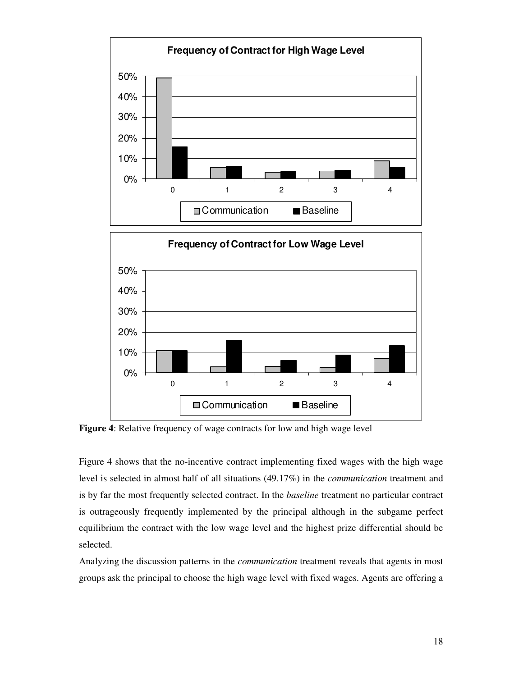

**Figure 4**: Relative frequency of wage contracts for low and high wage level

0%

10%

20%

Figure 4 shows that the no-incentive contract implementing fixed wages with the high wage level is selected in almost half of all situations (49.17%) in the *communication* treatment and is by far the most frequently selected contract. In the *baseline* treatment no particular contract is outrageously frequently implemented by the principal although in the subgame perfect equilibrium the contract with the low wage level and the highest prize differential should be selected.

0 1 2 3 4

**□ Communication** Baseline

Analyzing the discussion patterns in the *communication* treatment reveals that agents in most groups ask the principal to choose the high wage level with fixed wages. Agents are offering a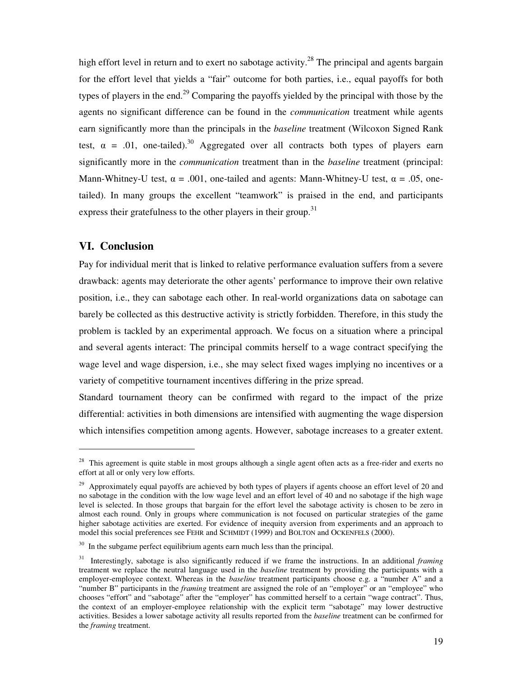high effort level in return and to exert no sabotage activity.<sup>28</sup> The principal and agents bargain for the effort level that yields a "fair" outcome for both parties, i.e., equal payoffs for both types of players in the end.<sup>29</sup> Comparing the payoffs yielded by the principal with those by the agents no significant difference can be found in the *communication* treatment while agents earn significantly more than the principals in the *baseline* treatment (Wilcoxon Signed Rank test,  $\alpha$  = .01, one-tailed).<sup>30</sup> Aggregated over all contracts both types of players earn significantly more in the *communication* treatment than in the *baseline* treatment (principal: Mann-Whitney-U test,  $\alpha = .001$ , one-tailed and agents: Mann-Whitney-U test,  $\alpha = .05$ , onetailed). In many groups the excellent "teamwork" is praised in the end, and participants express their gratefulness to the other players in their group.<sup>31</sup>

# **VI. Conclusion**

Pay for individual merit that is linked to relative performance evaluation suffers from a severe drawback: agents may deteriorate the other agents' performance to improve their own relative position, i.e., they can sabotage each other. In real-world organizations data on sabotage can barely be collected as this destructive activity is strictly forbidden. Therefore, in this study the problem is tackled by an experimental approach. We focus on a situation where a principal and several agents interact: The principal commits herself to a wage contract specifying the wage level and wage dispersion, i.e., she may select fixed wages implying no incentives or a variety of competitive tournament incentives differing in the prize spread.

Standard tournament theory can be confirmed with regard to the impact of the prize differential: activities in both dimensions are intensified with augmenting the wage dispersion which intensifies competition among agents. However, sabotage increases to a greater extent.

<sup>&</sup>lt;sup>28</sup> This agreement is quite stable in most groups although a single agent often acts as a free-rider and exerts no effort at all or only very low efforts.

<sup>&</sup>lt;sup>29</sup> Approximately equal payoffs are achieved by both types of players if agents choose an effort level of 20 and no sabotage in the condition with the low wage level and an effort level of 40 and no sabotage if the high wage level is selected. In those groups that bargain for the effort level the sabotage activity is chosen to be zero in almost each round. Only in groups where communication is not focused on particular strategies of the game higher sabotage activities are exerted. For evidence of inequity aversion from experiments and an approach to model this social preferences see FEHR and SCHMIDT (1999) and BOLTON and OCKENFELS (2000).

<sup>&</sup>lt;sup>30</sup> In the subgame perfect equilibrium agents earn much less than the principal.

<sup>&</sup>lt;sup>31</sup> Interestingly, sabotage is also significantly reduced if we frame the instructions. In an additional *framing* treatment we replace the neutral language used in the *baseline* treatment by providing the participants with a employer-employee context. Whereas in the *baseline* treatment participants choose e.g. a "number A" and a "number B" participants in the *framing* treatment are assigned the role of an "employer" or an "employee" who chooses "effort" and "sabotage" after the "employer" has committed herself to a certain "wage contract". Thus, the context of an employer-employee relationship with the explicit term "sabotage" may lower destructive activities. Besides a lower sabotage activity all results reported from the *baseline* treatment can be confirmed for the *framing* treatment.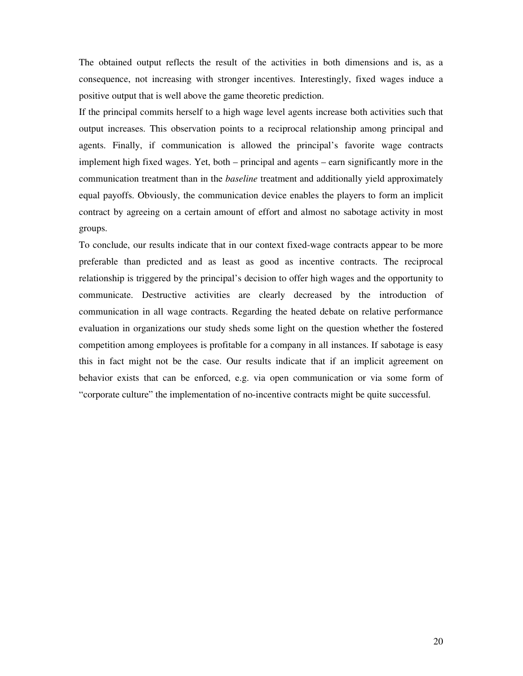The obtained output reflects the result of the activities in both dimensions and is, as a consequence, not increasing with stronger incentives. Interestingly, fixed wages induce a positive output that is well above the game theoretic prediction.

If the principal commits herself to a high wage level agents increase both activities such that output increases. This observation points to a reciprocal relationship among principal and agents. Finally, if communication is allowed the principal's favorite wage contracts implement high fixed wages. Yet, both – principal and agents – earn significantly more in the communication treatment than in the *baseline* treatment and additionally yield approximately equal payoffs. Obviously, the communication device enables the players to form an implicit contract by agreeing on a certain amount of effort and almost no sabotage activity in most groups.

To conclude, our results indicate that in our context fixed-wage contracts appear to be more preferable than predicted and as least as good as incentive contracts. The reciprocal relationship is triggered by the principal's decision to offer high wages and the opportunity to communicate. Destructive activities are clearly decreased by the introduction of communication in all wage contracts. Regarding the heated debate on relative performance evaluation in organizations our study sheds some light on the question whether the fostered competition among employees is profitable for a company in all instances. If sabotage is easy this in fact might not be the case. Our results indicate that if an implicit agreement on behavior exists that can be enforced, e.g. via open communication or via some form of "corporate culture" the implementation of no-incentive contracts might be quite successful.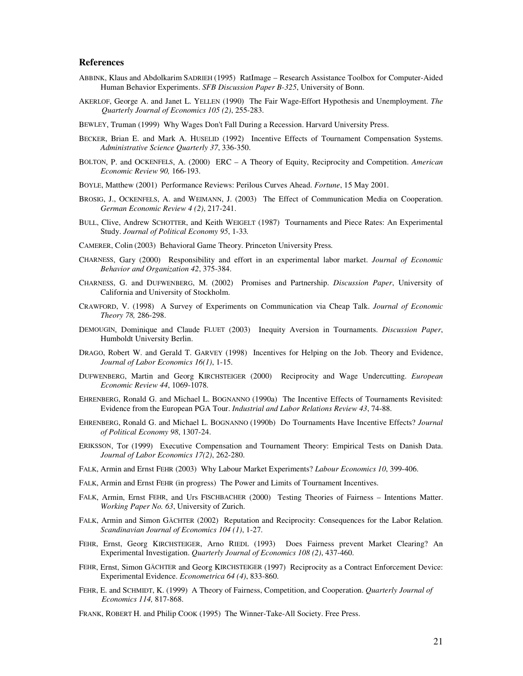#### **References**

- ABBINK, Klaus and Abdolkarim SADRIEH (1995) RatImage Research Assistance Toolbox for Computer-Aided Human Behavior Experiments. *SFB Discussion Paper B-325*, University of Bonn.
- AKERLOF, George A. and Janet L. YELLEN (1990) The Fair Wage-Effort Hypothesis and Unemployment. *The Quarterly Journal of Economics 105 (2)*, 255-283.
- BEWLEY, Truman (1999) Why Wages Don't Fall During a Recession. Harvard University Press.
- BECKER, Brian E. and Mark A. HUSELID (1992) Incentive Effects of Tournament Compensation Systems. *Administrative Science Quarterly 37*, 336-350.
- BOLTON, P. and OCKENFELS, A. (2000) ERC A Theory of Equity, Reciprocity and Competition. *American Economic Review 90,* 166-193.
- BOYLE, Matthew (2001) Performance Reviews: Perilous Curves Ahead. *Fortune*, 15 May 2001.
- BROSIG, J., OCKENFELS, A. and WEIMANN, J. (2003) The Effect of Communication Media on Cooperation. *German Economic Review 4 (2)*, 217-241.
- BULL, Clive, Andrew SCHOTTER, and Keith WEIGELT (1987) Tournaments and Piece Rates: An Experimental Study. *Journal of Political Economy 95*, 1-33*.*
- CAMERER, Colin (2003) Behavioral Game Theory. Princeton University Press*.*
- CHARNESS, Gary (2000) Responsibility and effort in an experimental labor market. *Journal of Economic Behavior and Organization 42*, 375-384.
- CHARNESS, G. and DUFWENBERG, M. (2002) Promises and Partnership. *Discussion Paper*, University of California and University of Stockholm.
- CRAWFORD, V. (1998) A Survey of Experiments on Communication via Cheap Talk. *Journal of Economic Theory 78,* 286-298.
- DEMOUGIN, Dominique and Claude FLUET (2003) Inequity Aversion in Tournaments. *Discussion Paper*, Humboldt University Berlin.
- DRAGO, Robert W. and Gerald T. GARVEY (1998) Incentives for Helping on the Job. Theory and Evidence, *Journal of Labor Economics 16(1)*, 1-15.
- DUFWENBERG, Martin and Georg KIRCHSTEIGER (2000) Reciprocity and Wage Undercutting. *European Economic Review 44*, 1069-1078.
- EHRENBERG, Ronald G. and Michael L. BOGNANNO (1990a) The Incentive Effects of Tournaments Revisited: Evidence from the European PGA Tour. *Industrial and Labor Relations Review 43*, 74-88.
- EHRENBERG, Ronald G. and Michael L. BOGNANNO (1990b) Do Tournaments Have Incentive Effects? *Journal of Political Economy 98*, 1307-24.
- ERIKSSON, Tor (1999) Executive Compensation and Tournament Theory: Empirical Tests on Danish Data. *Journal of Labor Economics 17(2)*, 262-280.
- FALK, Armin and Ernst FEHR (2003) Why Labour Market Experiments? *Labour Economics 10*, 399-406.
- FALK, Armin and Ernst FEHR (in progress) The Power and Limits of Tournament Incentives.
- FALK, Armin, Ernst FEHR, and Urs FISCHBACHER (2000) Testing Theories of Fairness Intentions Matter. *Working Paper No. 63*, University of Zurich.
- FALK, Armin and Simon GÄCHTER (2002) Reputation and Reciprocity: Consequences for the Labor Relation. *Scandinavian Journal of Economics 104 (1)*, 1-27.
- FEHR, Ernst, Georg KIRCHSTEIGER, Arno RIEDL (1993) Does Fairness prevent Market Clearing? An Experimental Investigation. *Quarterly Journal of Economics 108 (2)*, 437-460.
- FEHR, Ernst, Simon GÄCHTER and Georg KIRCHSTEIGER (1997) Reciprocity as a Contract Enforcement Device: Experimental Evidence. *Econometrica 64 (4)*, 833-860.
- FEHR, E. and SCHMIDT, K. (1999) A Theory of Fairness, Competition, and Cooperation. *Quarterly Journal of Economics 114,* 817-868.
- FRANK, ROBERT H. and Philip COOK (1995) The Winner-Take-All Society. Free Press.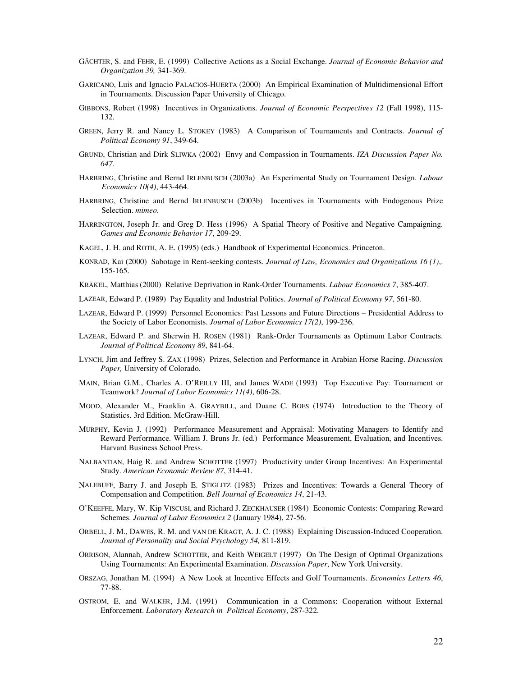- GÄCHTER, S. and FEHR, E. (1999) Collective Actions as a Social Exchange. *Journal of Economic Behavior and Organization 39,* 341-369.
- GARICANO, Luis and Ignacio PALACIOS-HUERTA (2000) An Empirical Examination of Multidimensional Effort in Tournaments. Discussion Paper University of Chicago.
- GIBBONS, Robert (1998) Incentives in Organizations. *Journal of Economic Perspectives 12* (Fall 1998), 115- 132.
- GREEN, Jerry R. and Nancy L. STOKEY (1983) A Comparison of Tournaments and Contracts. *Journal of Political Economy 91*, 349-64.
- GRUND, Christian and Dirk SLIWKA (2002) Envy and Compassion in Tournaments. *IZA Discussion Paper No. 647*.
- HARBRING, Christine and Bernd IRLENBUSCH (2003a) An Experimental Study on Tournament Design. *Labour Economics 10(4)*, 443-464.
- HARBRING, Christine and Bernd IRLENBUSCH (2003b) Incentives in Tournaments with Endogenous Prize Selection. *mimeo*.
- HARRINGTON, Joseph Jr. and Greg D. Hess (1996) A Spatial Theory of Positive and Negative Campaigning. *Games and Economic Behavior 17*, 209-29.
- KAGEL, J. H. and ROTH, A. E. (1995) (eds.) Handbook of Experimental Economics. Princeton.
- KONRAD, Kai (2000) Sabotage in Rent-seeking contests. *Journal of Law, Economics and Organizations 16 (1)*,. 155-165.
- KRÄKEL, Matthias (2000) Relative Deprivation in Rank-Order Tournaments. *Labour Economics 7*, 385-407.
- LAZEAR, Edward P. (1989) Pay Equality and Industrial Politics. *Journal of Political Economy 97*, 561-80.
- LAZEAR, Edward P. (1999) Personnel Economics: Past Lessons and Future Directions Presidential Address to the Society of Labor Economists. *Journal of Labor Economics 17(2)*, 199-236.
- LAZEAR, Edward P. and Sherwin H. ROSEN (1981) Rank-Order Tournaments as Optimum Labor Contracts. *Journal of Political Economy 89*, 841-64.
- LYNCH, Jim and Jeffrey S. ZAX (1998) Prizes, Selection and Performance in Arabian Horse Racing. *Discussion Paper,* University of Colorado.
- MAIN, Brian G.M., Charles A. O'REILLY III, and James WADE (1993) Top Executive Pay: Tournament or Teamwork? *Journal of Labor Economics 11(4)*, 606-28.
- MOOD, Alexander M., Franklin A. GRAYBILL, and Duane C. BOES (1974) Introduction to the Theory of Statistics. 3rd Edition. McGraw-Hill.
- MURPHY, Kevin J. (1992) Performance Measurement and Appraisal: Motivating Managers to Identify and Reward Performance. William J. Bruns Jr. (ed.) Performance Measurement, Evaluation, and Incentives. Harvard Business School Press.
- NALBANTIAN, Haig R. and Andrew SCHOTTER (1997) Productivity under Group Incentives: An Experimental Study. *American Economic Review 87*, 314-41.
- NALEBUFF, Barry J. and Joseph E. STIGLITZ (1983) Prizes and Incentives: Towards a General Theory of Compensation and Competition. *Bell Journal of Economics 14*, 21-43.
- O'KEEFFE, Mary, W. Kip VISCUSI, and Richard J. ZECKHAUSER (1984) Economic Contests: Comparing Reward Schemes. *Journal of Labor Economics 2* (January 1984), 27-56.
- ORBELL, J. M., DAWES, R. M. and VAN DE KRAGT, A. J. C. (1988) Explaining Discussion-Induced Cooperation. *Journal of Personality and Social Psychology 54,* 811-819.
- ORRISON, Alannah, Andrew SCHOTTER, and Keith WEIGELT (1997) On The Design of Optimal Organizations Using Tournaments: An Experimental Examination. *Discussion Paper*, New York University.
- ORSZAG, Jonathan M. (1994) A New Look at Incentive Effects and Golf Tournaments. *Economics Letters 46*, 77-88.
- OSTROM, E. and WALKER, J.M. (1991) Communication in a Commons: Cooperation without External Enforcement. *Laboratory Research in Political Economy*, 287-322.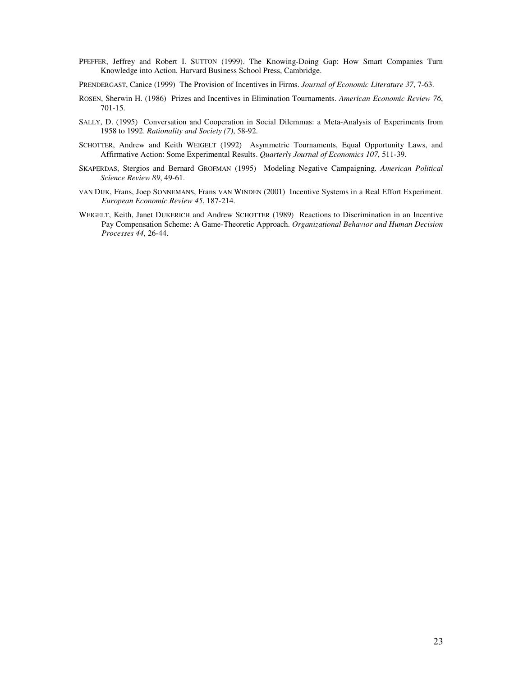- PFEFFER, Jeffrey and Robert I. SUTTON (1999). The Knowing-Doing Gap: How Smart Companies Turn Knowledge into Action. Harvard Business School Press, Cambridge.
- PRENDERGAST, Canice (1999) The Provision of Incentives in Firms. *Journal of Economic Literature 37*, 7-63.
- ROSEN, Sherwin H. (1986) Prizes and Incentives in Elimination Tournaments. *American Economic Review 76*, 701-15.
- SALLY, D. (1995) Conversation and Cooperation in Social Dilemmas: a Meta-Analysis of Experiments from 1958 to 1992. *Rationality and Society (7)*, 58-92.
- SCHOTTER, Andrew and Keith WEIGELT (1992) Asymmetric Tournaments, Equal Opportunity Laws, and Affirmative Action: Some Experimental Results. *Quarterly Journal of Economics 107*, 511-39.
- SKAPERDAS, Stergios and Bernard GROFMAN (1995) Modeling Negative Campaigning. *American Political Science Review 89*, 49-61.
- VAN DIJK, Frans, Joep SONNEMANS, Frans VAN WINDEN (2001) Incentive Systems in a Real Effort Experiment. *European Economic Review 45*, 187-214.
- WEIGELT, Keith, Janet DUKERICH and Andrew SCHOTTER (1989) Reactions to Discrimination in an Incentive Pay Compensation Scheme: A Game-Theoretic Approach. *Organizational Behavior and Human Decision Processes 44*, 26-44.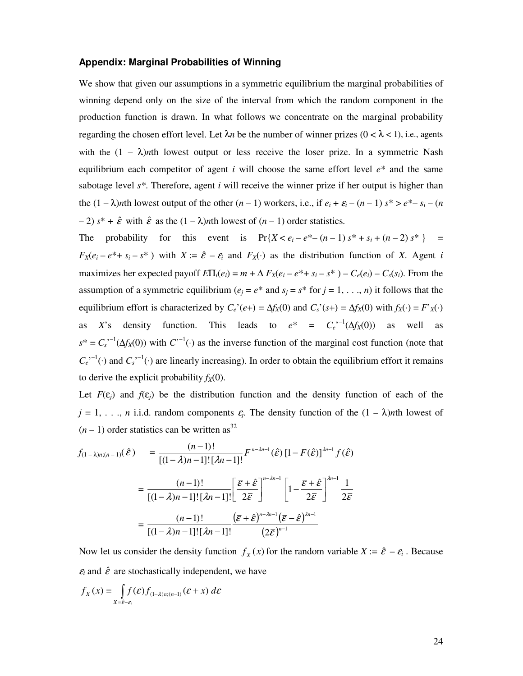# **Appendix: Marginal Probabilities of Winning**

We show that given our assumptions in a symmetric equilibrium the marginal probabilities of winning depend only on the size of the interval from which the random component in the production function is drawn. In what follows we concentrate on the marginal probability regarding the chosen effort level. Let  $\lambda n$  be the number of winner prizes ( $0 < \lambda < 1$ ), i.e., agents with the  $(1 - \lambda)$ *n*th lowest output or less receive the loser prize. In a symmetric Nash equilibrium each competitor of agent  $i$  will choose the same effort level  $e^*$  and the same sabotage level *s\**. Therefore, agent *i* will receive the winner prize if her output is higher than the  $(1 - \lambda)$ *n*th lowest output of the other  $(n - 1)$  workers, i.e., if  $e_i + \varepsilon_i - (n - 1) s^* > e^* - s_i - (n - 1) s^*$  $(-2)$   $s^* + \hat{\varepsilon}$  with  $\hat{\varepsilon}$  as the  $(1 - \lambda)$ *nth* lowest of  $(n - 1)$  order statistics.

The probability for this event is  $Pr{X < e_i - e^* - (n-1) s^* + s_i + (n-2) s^*}$  =  $F_X(e_i - e^* + s_i - s^*)$  with  $X := \hat{\varepsilon} - \varepsilon_i$  and  $F_X(\cdot)$  as the distribution function of *X*. Agent *i* maximizes her expected payoff  $E\Pi_i(e_i) = m + \Delta F_X(e_i - e^* + s_i - s^*) - C_e(e_i) - C_s(s_i)$ . From the assumption of a symmetric equilibrium ( $e_i = e^*$  and  $s_i = s^*$  for  $j = 1, \ldots, n$ ) it follows that the equilibrium effort is characterized by  $C_e$ <sup>*i*</sup>( $e$ +) =  $\Delta f_X$ (0) and  $C_s$ <sup>*i*</sup>( $s$ +) =  $\Delta f_X$ (0) with  $f_X$ (·) =  $F'_{X}$ (·) as *X*'s density function. This leads to  $e^* = C_e^{(-1)}(\Delta f_X(0))$  as well as  $s^* = C_s^{(-1)}(\Delta f_X(0))$  with  $C^{(-1)}(\cdot)$  as the inverse function of the marginal cost function (note that  $C_e^{(-1)}(\cdot)$  and  $C_s^{(-1)}(\cdot)$  are linearly increasing). In order to obtain the equilibrium effort it remains to derive the explicit probability  $f_X(0)$ .

Let  $F(\varepsilon_i)$  and  $f(\varepsilon_j)$  be the distribution function and the density function of each of the  $j = 1, \ldots, n$  i.i.d. random components  $\varepsilon_j$ . The density function of the  $(1 - \lambda)$ *nth* lowest of  $(n-1)$  order statistics can be written as<sup>32</sup>

$$
f_{(1-\lambda)n;(n-1)}(\hat{\varepsilon}) = \frac{(n-1)!}{[(1-\lambda)n-1]![\lambda n-1]!} F^{n-\lambda n-1}(\hat{\varepsilon}) [1-F(\hat{\varepsilon})]^{2n-1} f(\hat{\varepsilon})
$$
  

$$
= \frac{(n-1)!}{[(1-\lambda)n-1]![\lambda n-1]!} \left[ \frac{\bar{\varepsilon}+\hat{\varepsilon}}{2\bar{\varepsilon}} \right]^{n-\lambda n-1} \left[ 1 - \frac{\bar{\varepsilon}+\hat{\varepsilon}}{2\bar{\varepsilon}} \right]^{2n-1} \frac{1}{2\bar{\varepsilon}}
$$
  

$$
= \frac{(n-1)!}{[(1-\lambda)n-1]![\lambda n-1]!} \frac{(\bar{\varepsilon}+\hat{\varepsilon})^{n-\lambda n-1} (\bar{\varepsilon}-\hat{\varepsilon})^{2n-1}}{(2\bar{\varepsilon})^{n-1}}
$$

Now let us consider the density function  $f_X(x)$  for the random variable  $X := \hat{\varepsilon} - \varepsilon_i$ . Because  $\epsilon_i$  and  $\hat{\epsilon}$  are stochastically independent, we have

$$
f_X(x) = \int_{X = \hat{\epsilon} - \epsilon_i} f(\epsilon) f_{(1-\lambda)n; (n-1)}(\epsilon + x) d\epsilon
$$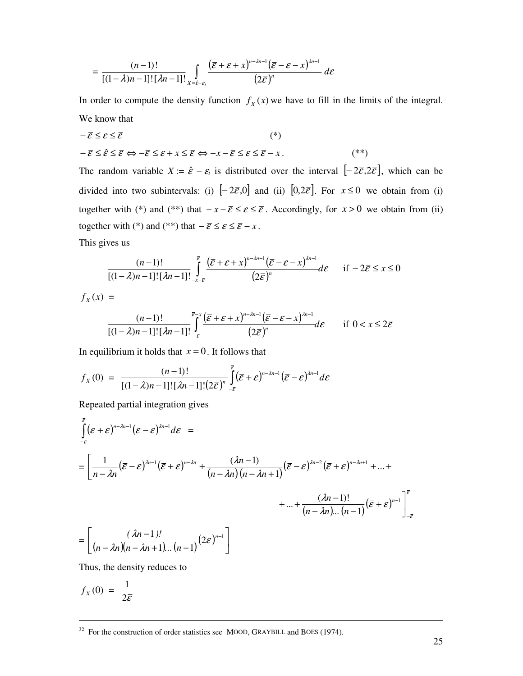$$
= \frac{(n-1)!}{[(1-\lambda)n-1]![\lambda n-1]!} \int_{X=\hat{\varepsilon}-\varepsilon_i} \frac{(\overline{\varepsilon}+\varepsilon+x)^{n-\lambda n-1}(\overline{\varepsilon}-\varepsilon-x)^{\lambda n-1}}{(2\overline{\varepsilon})^n} d\varepsilon
$$

In order to compute the density function  $f<sub>X</sub>(x)$  we have to fill in the limits of the integral. We know that

$$
-\overline{\varepsilon} \leq \varepsilon \leq \overline{\varepsilon}
$$
(\*)  

$$
-\overline{\varepsilon} \leq \hat{\varepsilon} \leq \overline{\varepsilon} \Leftrightarrow -\overline{\varepsilon} \leq \varepsilon + x \leq \overline{\varepsilon} \Leftrightarrow -x - \overline{\varepsilon} \leq \varepsilon \leq \overline{\varepsilon} - x.
$$
(\*\*)

The random variable  $X = \hat{\varepsilon} - \varepsilon_i$  is distributed over the interval  $[-2\bar{\varepsilon}, 2\bar{\varepsilon}]$ , which can be divided into two subintervals: (i)  $[-2\bar{\varepsilon},0]$  and (ii)  $[0,2\bar{\varepsilon}]$ . For  $x \le 0$  we obtain from (i) together with (\*) and (\*\*) that  $-x-\bar{\varepsilon} \leq \varepsilon \leq \bar{\varepsilon}$ . Accordingly, for  $x > 0$  we obtain from (ii) together with (\*) and (\*\*) that  $-\overline{\varepsilon} \leq \varepsilon \leq \overline{\varepsilon} - x$ .

This gives us

$$
\frac{(n-1)!}{[(1-\lambda)n-1]! \left[\lambda n-1\right]!} \int_{-x-\overline{\varepsilon}}^{\overline{\varepsilon}} \frac{\left(\overline{\varepsilon}+\varepsilon+x\right)^{n-\lambda n-1} \left(\overline{\varepsilon}-\varepsilon-x\right)^{\lambda n-1}}{\left(2\overline{\varepsilon}\right)^n} d\varepsilon \quad \text{if } -2\overline{\varepsilon} \le x \le 0
$$

 $f_{x}(x) =$ 

$$
\frac{(n-1)!}{[(1-\lambda)n-1]![\lambda n-1]!} \int_{-\overline{\varepsilon}}^{\overline{\varepsilon}-x} \frac{(\overline{\varepsilon}+\varepsilon+x)^{n-\lambda n-1}(\overline{\varepsilon}-\varepsilon-x)^{\lambda n-1}}{(2\overline{\varepsilon})^n} d\varepsilon \quad \text{if } 0 < x \leq 2\overline{\varepsilon}
$$

In equilibrium it holds that  $x = 0$ . It follows that

$$
f_X(0) = \frac{(n-1)!}{[(1-\lambda)n-1]![\lambda n-1]![(2\bar{\varepsilon})^n]} \int_{-\bar{\varepsilon}}^{\bar{\varepsilon}} (\bar{\varepsilon}+\varepsilon)^{n-\lambda n-1} (\bar{\varepsilon}-\varepsilon)^{\lambda n-1} d\varepsilon
$$

Repeated partial integration gives

$$
\int_{-\overline{\varepsilon}}^{\varepsilon} (\overline{\varepsilon} + \varepsilon)^{n-\lambda n-1} (\overline{\varepsilon} - \varepsilon)^{\lambda n-1} d\varepsilon =
$$
\n
$$
= \left[ \frac{1}{n-\lambda n} (\overline{\varepsilon} - \varepsilon)^{\lambda n-1} (\overline{\varepsilon} + \varepsilon)^{n-\lambda n} + \frac{(\lambda n - 1)}{(n-\lambda n)(n-\lambda n + 1)} (\overline{\varepsilon} - \varepsilon)^{\lambda n-2} (\overline{\varepsilon} + \varepsilon)^{n-\lambda n+1} + \dots + \frac{(\lambda n - 1)!}{(n-\lambda n)...(n-1)} (\overline{\varepsilon} + \varepsilon)^{n-1} \right]_{-\overline{\varepsilon}}^{\overline{\varepsilon}}
$$
\n
$$
= \left[ \frac{(\lambda n - 1)!}{(n-\lambda n)(n-\lambda n + 1)...(n-1)} (2\overline{\varepsilon})^{n-1} \right]
$$

Thus, the density reduces to

$$
f_X(0) = \frac{1}{2\bar{\varepsilon}}
$$

 $32$  For the construction of order statistics see MOOD, GRAYBILL and BOES (1974).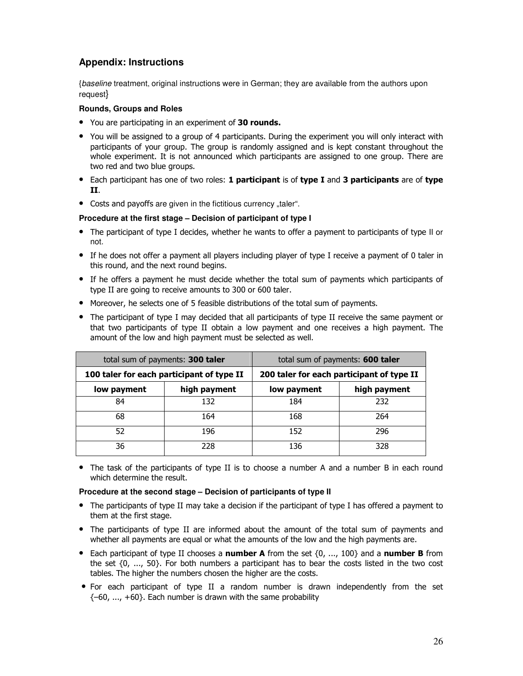# **Appendix: Instructions**

{*baseline* treatment, original instructions were in German; they are available from the authors upon request}

# **Rounds, Groups and Roles**

- You are participating in an experiment of 30 rounds.
- You will be assigned to a group of 4 participants. During the experiment you will only interact with participants of your group. The group is randomly assigned and is kept constant throughout the whole experiment. It is not announced which participants are assigned to one group. There are two red and two blue groups.
- Each participant has one of two roles: 1 participant is of type I and 3 participants are of type П.
- Costs and payoffs are given in the fictitious currency "taler".

### **Procedure at the first stage – Decision of participant of type I**

- The participant of type I decides, whether he wants to offer a payment to participants of type II or not.
- If he does not offer a payment all players including player of type I receive a payment of 0 taler in this round, and the next round begins.
- If he offers a payment he must decide whether the total sum of payments which participants of type II are going to receive amounts to 300 or 600 taler.
- Moreover, he selects one of 5 feasible distributions of the total sum of payments.
- The participant of type I may decided that all participants of type II receive the same payment or that two participants of type II obtain a low payment and one receives a high payment. The amount of the low and high payment must be selected as well.

|                                           | total sum of payments: 300 taler | total sum of payments: 600 taler          |              |  |
|-------------------------------------------|----------------------------------|-------------------------------------------|--------------|--|
| 100 taler for each participant of type II |                                  | 200 taler for each participant of type II |              |  |
| low payment                               | high payment                     | low payment                               | high payment |  |
| 84                                        | 132                              | 184                                       | 232          |  |
| 68                                        | 164                              | 168                                       | 264          |  |
| 52                                        | 196                              | 152                                       | 296          |  |
| 36                                        | 228                              | 136                                       | 328          |  |

• The task of the participants of type II is to choose a number A and a number B in each round which determine the result.

### **Procedure at the second stage – Decision of participants of type II**

- The participants of type II may take a decision if the participant of type I has offered a payment to them at the first stage.
- The participants of type II are informed about the amount of the total sum of payments and whether all payments are equal or what the amounts of the low and the high payments are.
- Each participant of type II chooses a number A from the set  $\{0, ..., 100\}$  and a number B from the set  $\{0, ..., 50\}$ . For both numbers a participant has to bear the costs listed in the two cost tables. The higher the numbers chosen the higher are the costs.
- For each participant of type II a random number is drawn independently from the set  $\{-60, ..., +60\}$ . Each number is drawn with the same probability